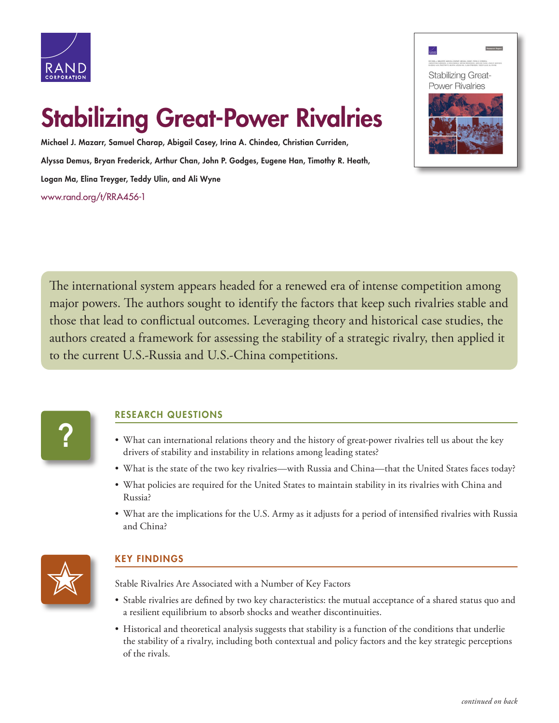

## Stabilizing Great-Power Rivalries

Michael J. Mazarr, Samuel Charap, Abigail Casey, Irina A. Chindea, Christian Curriden, Alyssa Demus, Bryan Frederick, Arthur Chan, John P. Godges, Eugene Han, Timothy R. Heath, Logan Ma, Elina Treyger, Teddy Ulin, and Ali Wyne [www.rand.org/t/RRA456-1](http://www.rand.org/t/RRA456-1)



The international system appears headed for a renewed era of intense competition among major powers. The authors sought to identify the factors that keep such rivalries stable and those that lead to conflictual outcomes. Leveraging theory and historical case studies, the authors created a framework for assessing the stability of a strategic rivalry, then applied it to the current U.S.-Russia and U.S.-China competitions.



## RESEARCH QUESTIONS

- What can international relations theory and the history of great-power rivalries tell us about the key drivers of stability and instability in relations among leading states?
- What is the state of the two key rivalries—with Russia and China—that the United States faces today?
- What policies are required for the United States to maintain stability in its rivalries with China and Russia?
- What are the implications for the U.S. Army as it adjusts for a period of intensified rivalries with Russia and China?



## KEY FINDINGS

Stable Rivalries Are Associated with a Number of Key Factors

- Stable rivalries are defined by two key characteristics: the mutual acceptance of a shared status quo and a resilient equilibrium to absorb shocks and weather discontinuities.
- Historical and theoretical analysis suggests that stability is a function of the conditions that underlie the stability of a rivalry, including both contextual and policy factors and the key strategic perceptions of the rivals.